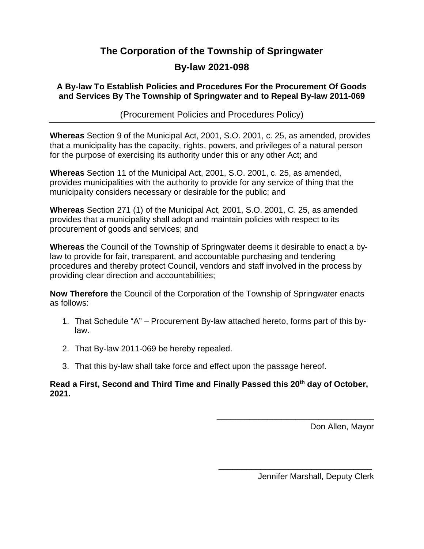#### **The Corporation of the Township of Springwater**

#### **By-law 2021-098**

#### **A By-law To Establish Policies and Procedures For the Procurement Of Goods and Services By The Township of Springwater and to Repeal By-law 2011-069**

(Procurement Policies and Procedures Policy)

**Whereas** Section 9 of the Municipal Act, 2001, S.O. 2001, c. 25, as amended, provides that a municipality has the capacity, rights, powers, and privileges of a natural person for the purpose of exercising its authority under this or any other Act; and

**Whereas** Section 11 of the Municipal Act, 2001, S.O. 2001, c. 25, as amended, provides municipalities with the authority to provide for any service of thing that the municipality considers necessary or desirable for the public; and

**Whereas** Section 271 (1) of the Municipal Act, 2001, S.O. 2001, C. 25, as amended provides that a municipality shall adopt and maintain policies with respect to its procurement of goods and services; and

**Whereas** the Council of the Township of Springwater deems it desirable to enact a bylaw to provide for fair, transparent, and accountable purchasing and tendering procedures and thereby protect Council, vendors and staff involved in the process by providing clear direction and accountabilities;

**Now Therefore** the Council of the Corporation of the Township of Springwater enacts as follows:

- 1. That Schedule "A" Procurement By-law attached hereto, forms part of this bylaw.
- 2. That By-law 2011-069 be hereby repealed.
- 3. That this by-law shall take force and effect upon the passage hereof.

#### **Read a First, Second and Third Time and Finally Passed this 20th day of October, 2021.**

Don Allen, Mayor

Jennifer Marshall, Deputy Clerk

\_\_\_\_\_\_\_\_\_\_\_\_\_\_\_\_\_\_\_\_\_\_\_\_\_\_\_\_\_\_\_\_\_\_

\_\_\_\_\_\_\_\_\_\_\_\_\_\_\_\_\_\_\_\_\_\_\_\_\_\_\_\_\_\_\_\_\_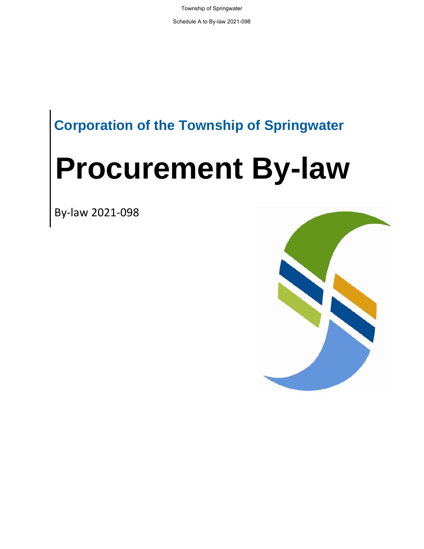Township of Springwater

Schedule A to By-law 2021-098

## **Corporation of the Township of Springwater**

# **Procurement By-law**

By-law 2021-098

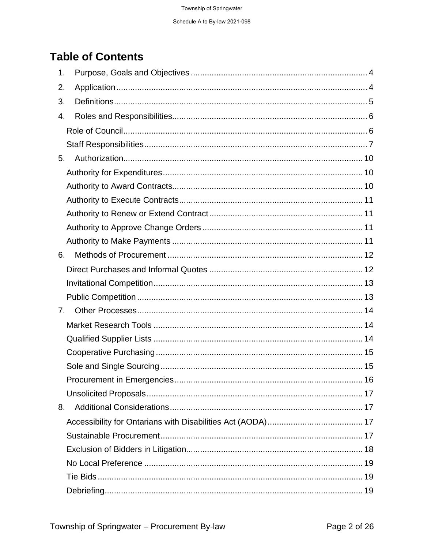## **Table of Contents**

| 1.             |  |
|----------------|--|
| 2.             |  |
| 3.             |  |
| 4.             |  |
|                |  |
|                |  |
| 5.             |  |
|                |  |
|                |  |
|                |  |
|                |  |
|                |  |
|                |  |
| 6.             |  |
|                |  |
|                |  |
|                |  |
| 7 <sub>1</sub> |  |
|                |  |
|                |  |
|                |  |
|                |  |
|                |  |
|                |  |
| 8.             |  |
|                |  |
|                |  |
|                |  |
|                |  |
|                |  |
|                |  |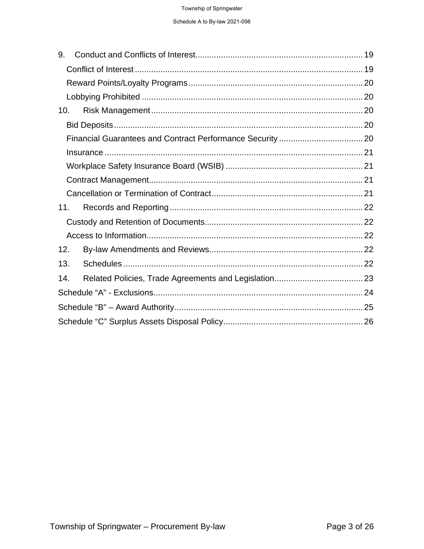| 9.  |  |  |  |
|-----|--|--|--|
|     |  |  |  |
|     |  |  |  |
|     |  |  |  |
| 10. |  |  |  |
|     |  |  |  |
|     |  |  |  |
|     |  |  |  |
|     |  |  |  |
|     |  |  |  |
|     |  |  |  |
| 11. |  |  |  |
|     |  |  |  |
|     |  |  |  |
| 12. |  |  |  |
| 13. |  |  |  |
| 14. |  |  |  |
|     |  |  |  |
|     |  |  |  |
|     |  |  |  |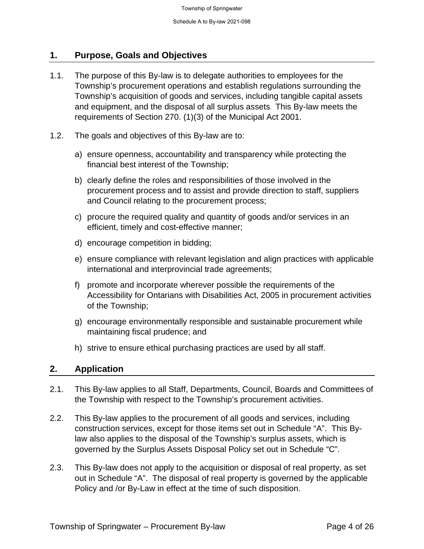#### **1. Purpose, Goals and Objectives**

- 1.1. The purpose of this By-law is to delegate authorities to employees for the Township's procurement operations and establish regulations surrounding the Township's acquisition of goods and services, including tangible capital assets and equipment, and the disposal of all surplus assets. This By-law meets the requirements of Section 270. (1)(3) of the Municipal Act 2001.
- 1.2. The goals and objectives of this By-law are to:
	- a) ensure openness, accountability and transparency while protecting the financial best interest of the Township;
	- b) clearly define the roles and responsibilities of those involved in the procurement process and to assist and provide direction to staff, suppliers and Council relating to the procurement process;
	- c) procure the required quality and quantity of goods and/or services in an efficient, timely and cost-effective manner;
	- d) encourage competition in bidding;
	- e) ensure compliance with relevant legislation and align practices with applicable international and interprovincial trade agreements;
	- f) promote and incorporate wherever possible the requirements of the Accessibility for Ontarians with Disabilities Act, 2005 in procurement activities of the Township;
	- g) encourage environmentally responsible and sustainable procurement while maintaining fiscal prudence; and
	- h) strive to ensure ethical purchasing practices are used by all staff.

#### **2. Application**

- 2.1. This By-law applies to all Staff, Departments, Council, Boards and Committees of the Township with respect to the Township's procurement activities.
- 2.2. This By-law applies to the procurement of all goods and services, including construction services, except for those items set out in Schedule "A". This Bylaw also applies to the disposal of the Township's surplus assets, which is governed by the Surplus Assets Disposal Policy set out in Schedule "C".
- 2.3. This By-law does not apply to the acquisition or disposal of real property, as set out in Schedule "A". The disposal of real property is governed by the applicable Policy and /or By-Law in effect at the time of such disposition.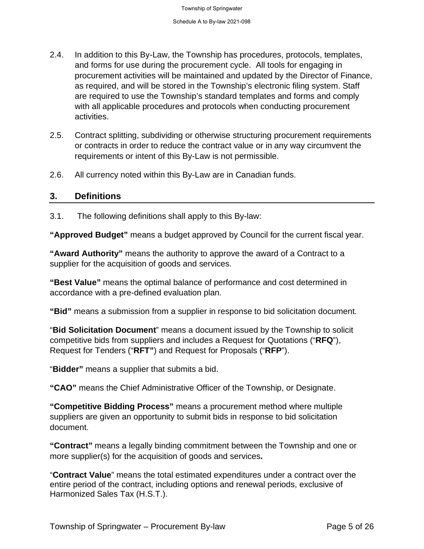- 2.4. In addition to this By-Law, the Township has procedures, protocols, templates, and forms for use during the procurement cycle. All tools for engaging in procurement activities will be maintained and updated by the Director of Finance, as required, and will be stored in the Township's electronic filing system. Staff are required to use the Township's standard templates and forms and comply with all applicable procedures and protocols when conducting procurement activities.
- 2.5. Contract splitting, subdividing or otherwise structuring procurement requirements or contracts in order to reduce the contract value or in any way circumvent the requirements or intent of this By-Law is not permissible.
- 2.6. All currency noted within this By-Law are in Canadian funds.

#### **3. Definitions**

3.1. The following definitions shall apply to this By-law:

**"Approved Budget"** means a budget approved by Council for the current fiscal year.

**"Award Authority"** means the authority to approve the award of a Contract to a supplier for the acquisition of goods and services.

**"Best Value"** means the optimal balance of performance and cost determined in accordance with a pre-defined evaluation plan.

**"Bid"** means a submission from a supplier in response to bid solicitation document.

"**Bid Solicitation Document**" means a document issued by the Township to solicit competitive bids from suppliers and includes a Request for Quotations ("**RFQ**"), Request for Tenders ("**RFT"**) and Request for Proposals ("**RFP**").

"**Bidder"** means a supplier that submits a bid.

**"CAO"** means the Chief Administrative Officer of the Township, or Designate.

**"Competitive Bidding Process"** means a procurement method where multiple suppliers are given an opportunity to submit bids in response to bid solicitation document.

**"Contract"** means a legally binding commitment between the Township and one or more supplier(s) for the acquisition of goods and services**.** 

"**Contract Value**" means the total estimated expenditures under a contract over the entire period of the contract, including options and renewal periods, exclusive of Harmonized Sales Tax (H.S.T.).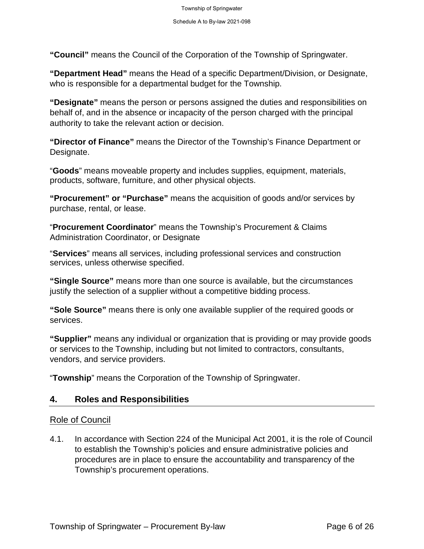**"Council"** means the Council of the Corporation of the Township of Springwater.

**"Department Head"** means the Head of a specific Department/Division, or Designate, who is responsible for a departmental budget for the Township.

**"Designate"** means the person or persons assigned the duties and responsibilities on behalf of, and in the absence or incapacity of the person charged with the principal authority to take the relevant action or decision.

**"Director of Finance"** means the Director of the Township's Finance Department or Designate.

"**Goods**" means moveable property and includes supplies, equipment, materials, products, software, furniture, and other physical objects.

**"Procurement" or "Purchase"** means the acquisition of goods and/or services by purchase, rental, or lease.

"**Procurement Coordinator**" means the Township's Procurement & Claims Administration Coordinator, or Designate

"**Services**" means all services, including professional services and construction services, unless otherwise specified.

**"Single Source"** means more than one source is available, but the circumstances justify the selection of a supplier without a competitive bidding process.

**"Sole Source"** means there is only one available supplier of the required goods or services.

**"Supplier"** means any individual or organization that is providing or may provide goods or services to the Township, including but not limited to contractors, consultants, vendors, and service providers.

"**Township**" means the Corporation of the Township of Springwater.

#### **4. Roles and Responsibilities**

#### Role of Council

4.1. In accordance with Section 224 of the Municipal Act 2001, it is the role of Council to establish the Township's policies and ensure administrative policies and procedures are in place to ensure the accountability and transparency of the Township's procurement operations.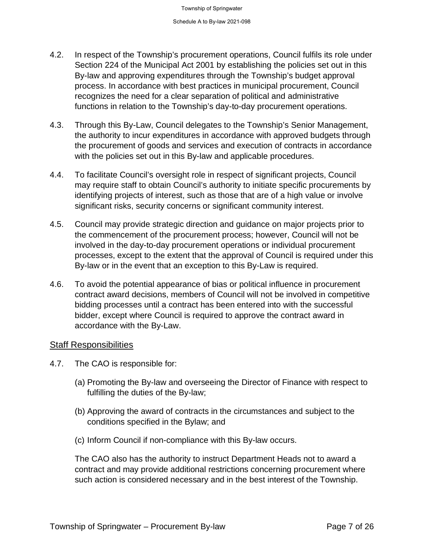- 4.2. In respect of the Township's procurement operations, Council fulfils its role under Section 224 of the Municipal Act 2001 by establishing the policies set out in this By-law and approving expenditures through the Township's budget approval process. In accordance with best practices in municipal procurement, Council recognizes the need for a clear separation of political and administrative functions in relation to the Township's day-to-day procurement operations.
- 4.3. Through this By-Law, Council delegates to the Township's Senior Management, the authority to incur expenditures in accordance with approved budgets through the procurement of goods and services and execution of contracts in accordance with the policies set out in this By-law and applicable procedures.
- 4.4. To facilitate Council's oversight role in respect of significant projects, Council may require staff to obtain Council's authority to initiate specific procurements by identifying projects of interest, such as those that are of a high value or involve significant risks, security concerns or significant community interest.
- 4.5. Council may provide strategic direction and guidance on major projects prior to the commencement of the procurement process; however, Council will not be involved in the day-to-day procurement operations or individual procurement processes, except to the extent that the approval of Council is required under this By-law or in the event that an exception to this By-Law is required.
- 4.6. To avoid the potential appearance of bias or political influence in procurement contract award decisions, members of Council will not be involved in competitive bidding processes until a contract has been entered into with the successful bidder, except where Council is required to approve the contract award in accordance with the By-Law.

#### Staff Responsibilities

- 4.7. The CAO is responsible for:
	- (a) Promoting the By-law and overseeing the Director of Finance with respect to fulfilling the duties of the By-law;
	- (b) Approving the award of contracts in the circumstances and subject to the conditions specified in the Bylaw; and
	- (c) Inform Council if non-compliance with this By-law occurs.

The CAO also has the authority to instruct Department Heads not to award a contract and may provide additional restrictions concerning procurement where such action is considered necessary and in the best interest of the Township.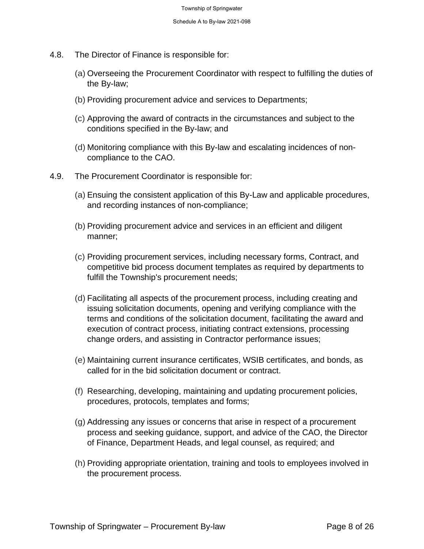- 4.8. The Director of Finance is responsible for:
	- (a) Overseeing the Procurement Coordinator with respect to fulfilling the duties of the By-law;
	- (b) Providing procurement advice and services to Departments;
	- (c) Approving the award of contracts in the circumstances and subject to the conditions specified in the By-law; and
	- (d) Monitoring compliance with this By-law and escalating incidences of noncompliance to the CAO.
- 4.9. The Procurement Coordinator is responsible for:
	- (a) Ensuing the consistent application of this By-Law and applicable procedures, and recording instances of non-compliance;
	- (b) Providing procurement advice and services in an efficient and diligent manner;
	- (c) Providing procurement services, including necessary forms, Contract, and competitive bid process document templates as required by departments to fulfill the Township's procurement needs;
	- (d) Facilitating all aspects of the procurement process, including creating and issuing solicitation documents, opening and verifying compliance with the terms and conditions of the solicitation document, facilitating the award and execution of contract process, initiating contract extensions, processing change orders, and assisting in Contractor performance issues;
	- (e) Maintaining current insurance certificates, WSIB certificates, and bonds, as called for in the bid solicitation document or contract.
	- (f) Researching, developing, maintaining and updating procurement policies, procedures, protocols, templates and forms;
	- (g) Addressing any issues or concerns that arise in respect of a procurement process and seeking guidance, support, and advice of the CAO, the Director of Finance, Department Heads, and legal counsel, as required; and
	- (h) Providing appropriate orientation, training and tools to employees involved in the procurement process.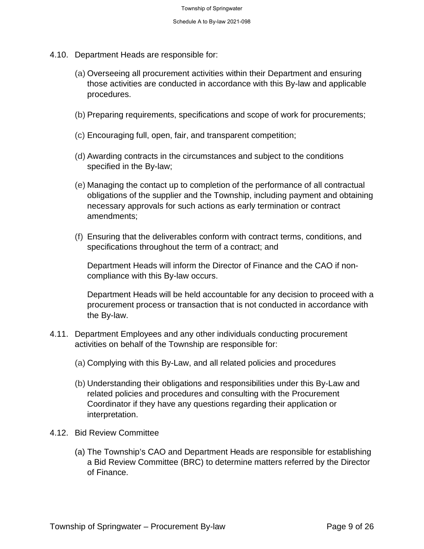- 4.10. Department Heads are responsible for:
	- (a) Overseeing all procurement activities within their Department and ensuring those activities are conducted in accordance with this By-law and applicable procedures.
	- (b) Preparing requirements, specifications and scope of work for procurements;
	- (c) Encouraging full, open, fair, and transparent competition;
	- (d) Awarding contracts in the circumstances and subject to the conditions specified in the By-law;
	- (e) Managing the contact up to completion of the performance of all contractual obligations of the supplier and the Township, including payment and obtaining necessary approvals for such actions as early termination or contract amendments;
	- (f) Ensuring that the deliverables conform with contract terms, conditions, and specifications throughout the term of a contract; and

Department Heads will inform the Director of Finance and the CAO if noncompliance with this By-law occurs.

Department Heads will be held accountable for any decision to proceed with a procurement process or transaction that is not conducted in accordance with the By-law.

- 4.11. Department Employees and any other individuals conducting procurement activities on behalf of the Township are responsible for:
	- (a) Complying with this By-Law, and all related policies and procedures
	- (b) Understanding their obligations and responsibilities under this By-Law and related policies and procedures and consulting with the Procurement Coordinator if they have any questions regarding their application or interpretation.
- 4.12. Bid Review Committee
	- (a) The Township's CAO and Department Heads are responsible for establishing a Bid Review Committee (BRC) to determine matters referred by the Director of Finance.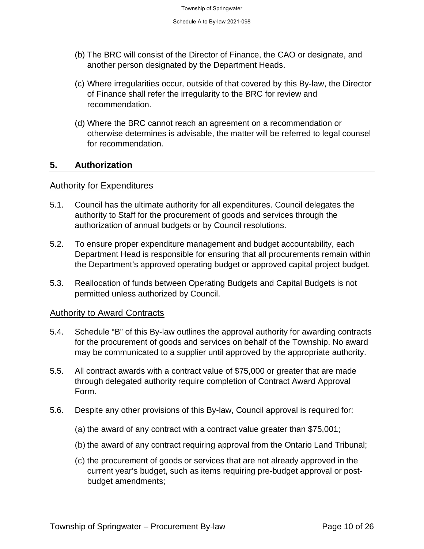- (b) The BRC will consist of the Director of Finance, the CAO or designate, and another person designated by the Department Heads.
- (c) Where irregularities occur, outside of that covered by this By-law, the Director of Finance shall refer the irregularity to the BRC for review and recommendation.
- (d) Where the BRC cannot reach an agreement on a recommendation or otherwise determines is advisable, the matter will be referred to legal counsel for recommendation.

#### **5. Authorization**

#### Authority for Expenditures

- 5.1. Council has the ultimate authority for all expenditures. Council delegates the authority to Staff for the procurement of goods and services through the authorization of annual budgets or by Council resolutions.
- 5.2. To ensure proper expenditure management and budget accountability, each Department Head is responsible for ensuring that all procurements remain within the Department's approved operating budget or approved capital project budget.
- 5.3. Reallocation of funds between Operating Budgets and Capital Budgets is not permitted unless authorized by Council.

#### Authority to Award Contracts

- 5.4. Schedule "B" of this By-law outlines the approval authority for awarding contracts for the procurement of goods and services on behalf of the Township. No award may be communicated to a supplier until approved by the appropriate authority.
- 5.5. All contract awards with a contract value of \$75,000 or greater that are made through delegated authority require completion of Contract Award Approval Form.
- 5.6. Despite any other provisions of this By-law, Council approval is required for:
	- (a) the award of any contract with a contract value greater than \$75,001;
	- (b) the award of any contract requiring approval from the Ontario Land Tribunal;
	- (c) the procurement of goods or services that are not already approved in the current year's budget, such as items requiring pre-budget approval or postbudget amendments;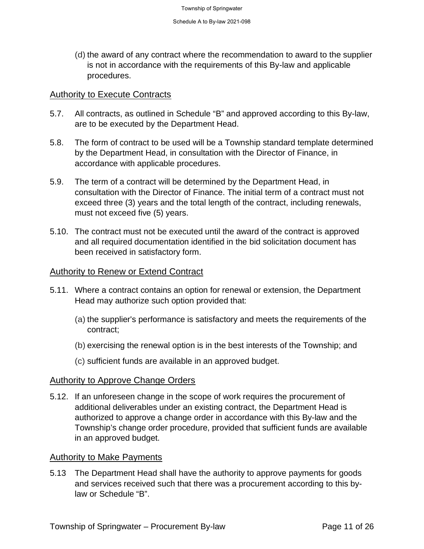(d) the award of any contract where the recommendation to award to the supplier is not in accordance with the requirements of this By-law and applicable procedures.

#### **Authority to Execute Contracts**

- 5.7. All contracts, as outlined in Schedule "B" and approved according to this By-law, are to be executed by the Department Head.
- 5.8. The form of contract to be used will be a Township standard template determined by the Department Head, in consultation with the Director of Finance, in accordance with applicable procedures.
- 5.9. The term of a contract will be determined by the Department Head, in consultation with the Director of Finance. The initial term of a contract must not exceed three (3) years and the total length of the contract, including renewals, must not exceed five (5) years.
- 5.10. The contract must not be executed until the award of the contract is approved and all required documentation identified in the bid solicitation document has been received in satisfactory form.

#### Authority to Renew or Extend Contract

- 5.11. Where a contract contains an option for renewal or extension, the Department Head may authorize such option provided that:
	- (a) the supplier's performance is satisfactory and meets the requirements of the contract;
	- (b) exercising the renewal option is in the best interests of the Township; and
	- (c) sufficient funds are available in an approved budget.

#### Authority to Approve Change Orders

5.12. If an unforeseen change in the scope of work requires the procurement of additional deliverables under an existing contract, the Department Head is authorized to approve a change order in accordance with this By-law and the Township's change order procedure, provided that sufficient funds are available in an approved budget.

#### Authority to Make Payments

5.13 The Department Head shall have the authority to approve payments for goods and services received such that there was a procurement according to this bylaw or Schedule "B".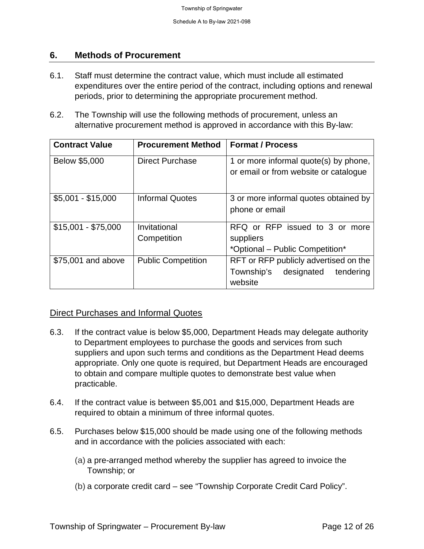#### **6. Methods of Procurement**

- 6.1. Staff must determine the contract value, which must include all estimated expenditures over the entire period of the contract, including options and renewal periods, prior to determining the appropriate procurement method.
- 6.2. The Township will use the following methods of procurement, unless an alternative procurement method is approved in accordance with this By-law:

| <b>Contract Value</b> | <b>Procurement Method</b>   | <b>Format / Process</b>                                                                   |
|-----------------------|-----------------------------|-------------------------------------------------------------------------------------------|
| Below \$5,000         | <b>Direct Purchase</b>      | 1 or more informal quote(s) by phone,<br>or email or from website or catalogue            |
| $$5,001 - $15,000$    | <b>Informal Quotes</b>      | 3 or more informal quotes obtained by<br>phone or email                                   |
| $$15,001 - $75,000$   | Invitational<br>Competition | RFQ or RFP issued to 3 or more<br>suppliers<br>*Optional – Public Competition*            |
| \$75,001 and above    | <b>Public Competition</b>   | RFT or RFP publicly advertised on the<br>Township's<br>designated<br>tendering<br>website |

#### Direct Purchases and Informal Quotes

- 6.3. If the contract value is below \$5,000, Department Heads may delegate authority to Department employees to purchase the goods and services from such suppliers and upon such terms and conditions as the Department Head deems appropriate. Only one quote is required, but Department Heads are encouraged to obtain and compare multiple quotes to demonstrate best value when practicable.
- 6.4. If the contract value is between \$5,001 and \$15,000, Department Heads are required to obtain a minimum of three informal quotes.
- 6.5. Purchases below \$15,000 should be made using one of the following methods and in accordance with the policies associated with each:
	- (a) a pre-arranged method whereby the supplier has agreed to invoice the Township; or
	- (b) a corporate credit card see "Township Corporate Credit Card Policy".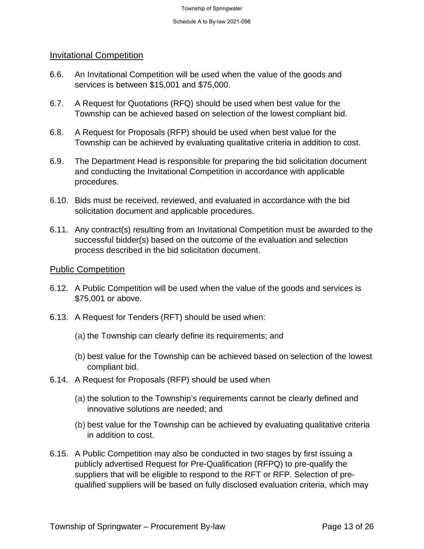#### Invitational Competition

- 6.6. An Invitational Competition will be used when the value of the goods and services is between \$15,001 and \$75,000.
- 6.7. A Request for Quotations (RFQ) should be used when best value for the Township can be achieved based on selection of the lowest compliant bid.
- 6.8. A Request for Proposals (RFP) should be used when best value for the Township can be achieved by evaluating qualitative criteria in addition to cost.
- 6.9. The Department Head is responsible for preparing the bid solicitation document and conducting the Invitational Competition in accordance with applicable procedures.
- 6.10. Bids must be received, reviewed, and evaluated in accordance with the bid solicitation document and applicable procedures.
- 6.11. Any contract(s) resulting from an Invitational Competition must be awarded to the successful bidder(s) based on the outcome of the evaluation and selection process described in the bid solicitation document.

#### Public Competition

- 6.12. A Public Competition will be used when the value of the goods and services is \$75,001 or above.
- 6.13. A Request for Tenders (RFT) should be used when:
	- (a) the Township can clearly define its requirements; and
	- (b) best value for the Township can be achieved based on selection of the lowest compliant bid.
- 6.14. A Request for Proposals (RFP) should be used when
	- (a) the solution to the Township's requirements cannot be clearly defined and innovative solutions are needed; and
	- (b) best value for the Township can be achieved by evaluating qualitative criteria in addition to cost.
- 6.15. A Public Competition may also be conducted in two stages by first issuing a publicly advertised Request for Pre-Qualification (RFPQ) to pre-qualify the suppliers that will be eligible to respond to the RFT or RFP. Selection of prequalified suppliers will be based on fully disclosed evaluation criteria, which may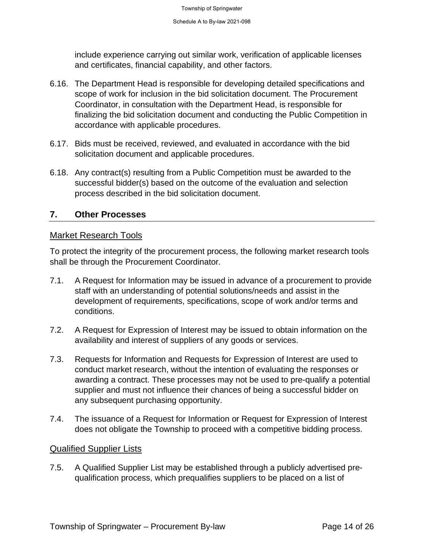include experience carrying out similar work, verification of applicable licenses and certificates, financial capability, and other factors.

- 6.16. The Department Head is responsible for developing detailed specifications and scope of work for inclusion in the bid solicitation document. The Procurement Coordinator, in consultation with the Department Head, is responsible for finalizing the bid solicitation document and conducting the Public Competition in accordance with applicable procedures.
- 6.17. Bids must be received, reviewed, and evaluated in accordance with the bid solicitation document and applicable procedures.
- 6.18. Any contract(s) resulting from a Public Competition must be awarded to the successful bidder(s) based on the outcome of the evaluation and selection process described in the bid solicitation document.

#### **7. Other Processes**

#### Market Research Tools

To protect the integrity of the procurement process, the following market research tools shall be through the Procurement Coordinator.

- 7.1. A Request for Information may be issued in advance of a procurement to provide staff with an understanding of potential solutions/needs and assist in the development of requirements, specifications, scope of work and/or terms and conditions.
- 7.2. A Request for Expression of Interest may be issued to obtain information on the availability and interest of suppliers of any goods or services.
- 7.3. Requests for Information and Requests for Expression of Interest are used to conduct market research, without the intention of evaluating the responses or awarding a contract. These processes may not be used to pre-qualify a potential supplier and must not influence their chances of being a successful bidder on any subsequent purchasing opportunity.
- 7.4. The issuance of a Request for Information or Request for Expression of Interest does not obligate the Township to proceed with a competitive bidding process.

#### Qualified Supplier Lists

7.5. A Qualified Supplier List may be established through a publicly advertised prequalification process, which prequalifies suppliers to be placed on a list of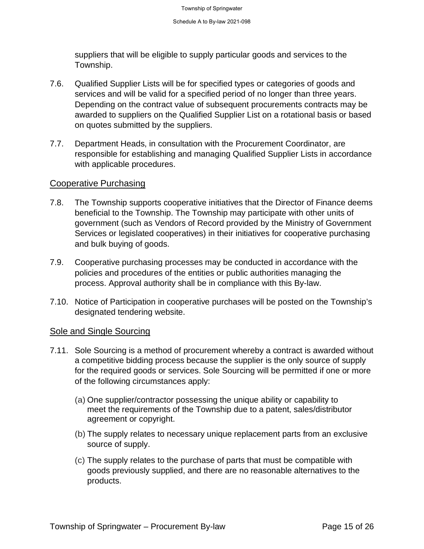suppliers that will be eligible to supply particular goods and services to the Township.

- 7.6. Qualified Supplier Lists will be for specified types or categories of goods and services and will be valid for a specified period of no longer than three years. Depending on the contract value of subsequent procurements contracts may be awarded to suppliers on the Qualified Supplier List on a rotational basis or based on quotes submitted by the suppliers.
- 7.7. Department Heads, in consultation with the Procurement Coordinator, are responsible for establishing and managing Qualified Supplier Lists in accordance with applicable procedures.

#### Cooperative Purchasing

- 7.8. The Township supports cooperative initiatives that the Director of Finance deems beneficial to the Township. The Township may participate with other units of government (such as Vendors of Record provided by the Ministry of Government Services or legislated cooperatives) in their initiatives for cooperative purchasing and bulk buying of goods.
- 7.9. Cooperative purchasing processes may be conducted in accordance with the policies and procedures of the entities or public authorities managing the process. Approval authority shall be in compliance with this By-law.
- 7.10. Notice of Participation in cooperative purchases will be posted on the Township's designated tendering website.

#### Sole and Single Sourcing

- 7.11. Sole Sourcing is a method of procurement whereby a contract is awarded without a competitive bidding process because the supplier is the only source of supply for the required goods or services. Sole Sourcing will be permitted if one or more of the following circumstances apply:
	- (a) One supplier/contractor possessing the unique ability or capability to meet the requirements of the Township due to a patent, sales/distributor agreement or copyright.
	- (b) The supply relates to necessary unique replacement parts from an exclusive source of supply.
	- (c) The supply relates to the purchase of parts that must be compatible with goods previously supplied, and there are no reasonable alternatives to the products.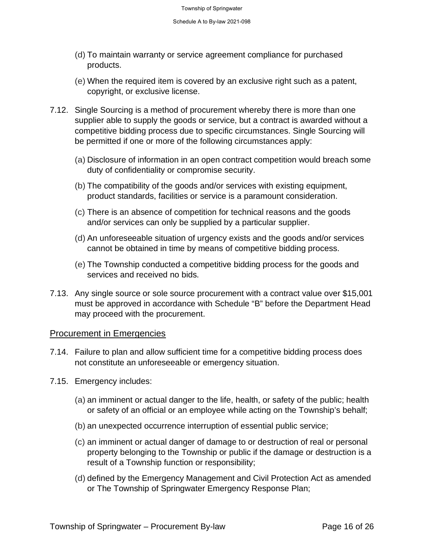- (d) To maintain warranty or service agreement compliance for purchased products.
- (e) When the required item is covered by an exclusive right such as a patent, copyright, or exclusive license.
- 7.12. Single Sourcing is a method of procurement whereby there is more than one supplier able to supply the goods or service, but a contract is awarded without a competitive bidding process due to specific circumstances. Single Sourcing will be permitted if one or more of the following circumstances apply:
	- (a) Disclosure of information in an open contract competition would breach some duty of confidentiality or compromise security.
	- (b) The compatibility of the goods and/or services with existing equipment, product standards, facilities or service is a paramount consideration.
	- (c) There is an absence of competition for technical reasons and the goods and/or services can only be supplied by a particular supplier.
	- (d) An unforeseeable situation of urgency exists and the goods and/or services cannot be obtained in time by means of competitive bidding process.
	- (e) The Township conducted a competitive bidding process for the goods and services and received no bids.
- 7.13. Any single source or sole source procurement with a contract value over \$15,001 must be approved in accordance with Schedule "B" before the Department Head may proceed with the procurement.

#### Procurement in Emergencies

- 7.14. Failure to plan and allow sufficient time for a competitive bidding process does not constitute an unforeseeable or emergency situation.
- 7.15. Emergency includes:
	- (a) an imminent or actual danger to the life, health, or safety of the public; health or safety of an official or an employee while acting on the Township's behalf;
	- (b) an unexpected occurrence interruption of essential public service;
	- (c) an imminent or actual danger of damage to or destruction of real or personal property belonging to the Township or public if the damage or destruction is a result of a Township function or responsibility;
	- (d) defined by the Emergency Management and Civil Protection Act as amended or The Township of Springwater Emergency Response Plan;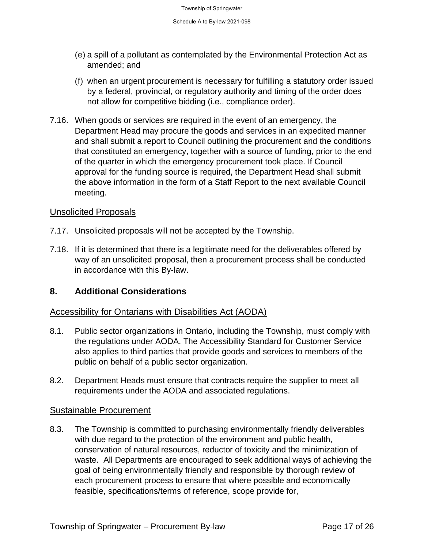- (e) a spill of a pollutant as contemplated by the Environmental Protection Act as amended; and
- (f) when an urgent procurement is necessary for fulfilling a statutory order issued by a federal, provincial, or regulatory authority and timing of the order does not allow for competitive bidding (i.e., compliance order).
- 7.16. When goods or services are required in the event of an emergency, the Department Head may procure the goods and services in an expedited manner and shall submit a report to Council outlining the procurement and the conditions that constituted an emergency, together with a source of funding, prior to the end of the quarter in which the emergency procurement took place. If Council approval for the funding source is required, the Department Head shall submit the above information in the form of a Staff Report to the next available Council meeting.

#### Unsolicited Proposals

- 7.17. Unsolicited proposals will not be accepted by the Township.
- 7.18. If it is determined that there is a legitimate need for the deliverables offered by way of an unsolicited proposal, then a procurement process shall be conducted in accordance with this By-law.

#### **8. Additional Considerations**

#### Accessibility for Ontarians with Disabilities Act (AODA)

- 8.1. Public sector organizations in Ontario, including the Township, must comply with the regulations under AODA. The Accessibility Standard for Customer Service also applies to third parties that provide goods and services to members of the public on behalf of a public sector organization.
- 8.2. Department Heads must ensure that contracts require the supplier to meet all requirements under the AODA and associated regulations.

#### Sustainable Procurement

8.3. The Township is committed to purchasing environmentally friendly deliverables with due regard to the protection of the environment and public health, conservation of natural resources, reductor of toxicity and the minimization of waste. All Departments are encouraged to seek additional ways of achieving the goal of being environmentally friendly and responsible by thorough review of each procurement process to ensure that where possible and economically feasible, specifications/terms of reference, scope provide for,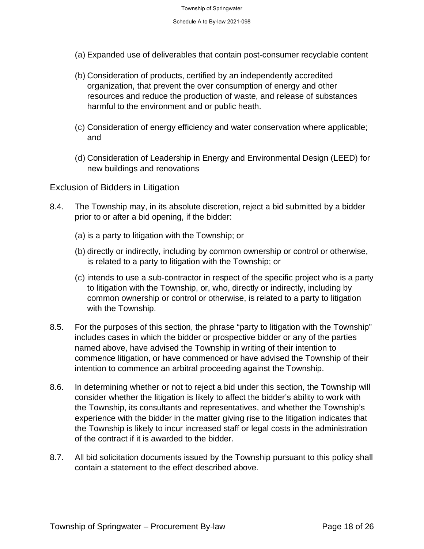- (a) Expanded use of deliverables that contain post-consumer recyclable content
- (b) Consideration of products, certified by an independently accredited organization, that prevent the over consumption of energy and other resources and reduce the production of waste, and release of substances harmful to the environment and or public heath.
- (c) Consideration of energy efficiency and water conservation where applicable; and
- (d) Consideration of Leadership in Energy and Environmental Design (LEED) for new buildings and renovations

#### Exclusion of Bidders in Litigation

- 8.4. The Township may, in its absolute discretion, reject a bid submitted by a bidder prior to or after a bid opening, if the bidder:
	- (a) is a party to litigation with the Township; or
	- (b) directly or indirectly, including by common ownership or control or otherwise, is related to a party to litigation with the Township; or
	- (c) intends to use a sub-contractor in respect of the specific project who is a party to litigation with the Township, or, who, directly or indirectly, including by common ownership or control or otherwise, is related to a party to litigation with the Township.
- 8.5. For the purposes of this section, the phrase "party to litigation with the Township" includes cases in which the bidder or prospective bidder or any of the parties named above, have advised the Township in writing of their intention to commence litigation, or have commenced or have advised the Township of their intention to commence an arbitral proceeding against the Township.
- 8.6. In determining whether or not to reject a bid under this section, the Township will consider whether the litigation is likely to affect the bidder's ability to work with the Township, its consultants and representatives, and whether the Township's experience with the bidder in the matter giving rise to the litigation indicates that the Township is likely to incur increased staff or legal costs in the administration of the contract if it is awarded to the bidder.
- 8.7. All bid solicitation documents issued by the Township pursuant to this policy shall contain a statement to the effect described above.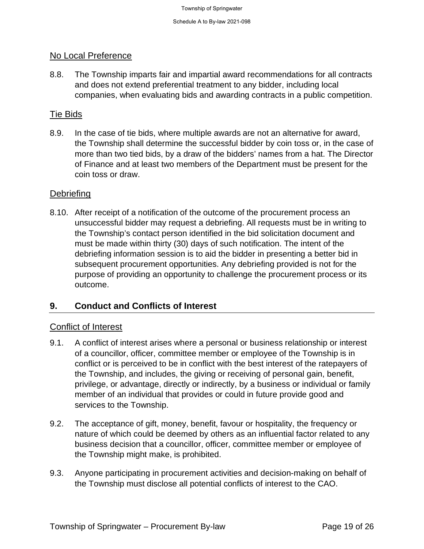#### No Local Preference

8.8. The Township imparts fair and impartial award recommendations for all contracts and does not extend preferential treatment to any bidder, including local companies, when evaluating bids and awarding contracts in a public competition.

#### Tie Bids

8.9. In the case of tie bids, where multiple awards are not an alternative for award, the Township shall determine the successful bidder by coin toss or, in the case of more than two tied bids, by a draw of the bidders' names from a hat. The Director of Finance and at least two members of the Department must be present for the coin toss or draw.

#### **Debriefing**

8.10. After receipt of a notification of the outcome of the procurement process an unsuccessful bidder may request a debriefing. All requests must be in writing to the Township's contact person identified in the bid solicitation document and must be made within thirty (30) days of such notification. The intent of the debriefing information session is to aid the bidder in presenting a better bid in subsequent procurement opportunities. Any debriefing provided is not for the purpose of providing an opportunity to challenge the procurement process or its outcome.

#### **9. Conduct and Conflicts of Interest**

#### Conflict of Interest

- 9.1. A conflict of interest arises where a personal or business relationship or interest of a councillor, officer, committee member or employee of the Township is in conflict or is perceived to be in conflict with the best interest of the ratepayers of the Township, and includes, the giving or receiving of personal gain, benefit, privilege, or advantage, directly or indirectly, by a business or individual or family member of an individual that provides or could in future provide good and services to the Township.
- 9.2. The acceptance of gift, money, benefit, favour or hospitality, the frequency or nature of which could be deemed by others as an influential factor related to any business decision that a councillor, officer, committee member or employee of the Township might make, is prohibited.
- 9.3. Anyone participating in procurement activities and decision-making on behalf of the Township must disclose all potential conflicts of interest to the CAO.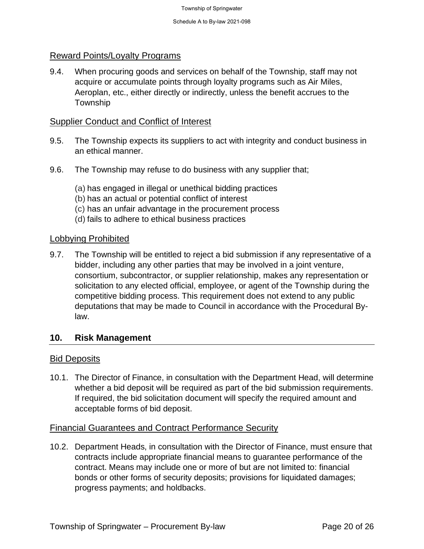#### Reward Points/Loyalty Programs

9.4. When procuring goods and services on behalf of the Township, staff may not acquire or accumulate points through loyalty programs such as Air Miles, Aeroplan, etc., either directly or indirectly, unless the benefit accrues to the Township

#### Supplier Conduct and Conflict of Interest

- 9.5. The Township expects its suppliers to act with integrity and conduct business in an ethical manner.
- 9.6. The Township may refuse to do business with any supplier that;
	- (a) has engaged in illegal or unethical bidding practices
	- (b) has an actual or potential conflict of interest
	- (c) has an unfair advantage in the procurement process
	- (d) fails to adhere to ethical business practices

#### Lobbying Prohibited

9.7. The Township will be entitled to reject a bid submission if any representative of a bidder, including any other parties that may be involved in a joint venture, consortium, subcontractor, or supplier relationship, makes any representation or solicitation to any elected official, employee, or agent of the Township during the competitive bidding process. This requirement does not extend to any public deputations that may be made to Council in accordance with the Procedural Bylaw.

#### **10. Risk Management**

#### Bid Deposits

10.1. The Director of Finance, in consultation with the Department Head, will determine whether a bid deposit will be required as part of the bid submission requirements. If required, the bid solicitation document will specify the required amount and acceptable forms of bid deposit.

#### Financial Guarantees and Contract Performance Security

10.2. Department Heads, in consultation with the Director of Finance, must ensure that contracts include appropriate financial means to guarantee performance of the contract. Means may include one or more of but are not limited to: financial bonds or other forms of security deposits; provisions for liquidated damages; progress payments; and holdbacks.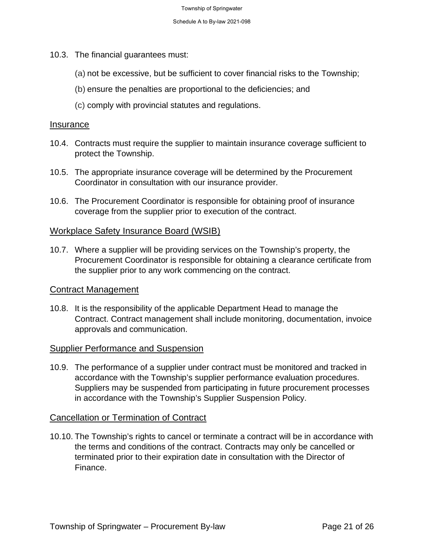- 10.3. The financial guarantees must:
	- (a) not be excessive, but be sufficient to cover financial risks to the Township;
	- (b) ensure the penalties are proportional to the deficiencies; and
	- (c) comply with provincial statutes and regulations.

#### Insurance

- 10.4. Contracts must require the supplier to maintain insurance coverage sufficient to protect the Township.
- 10.5. The appropriate insurance coverage will be determined by the Procurement Coordinator in consultation with our insurance provider.
- 10.6. The Procurement Coordinator is responsible for obtaining proof of insurance coverage from the supplier prior to execution of the contract.

#### Workplace Safety Insurance Board (WSIB)

10.7. Where a supplier will be providing services on the Township's property, the Procurement Coordinator is responsible for obtaining a clearance certificate from the supplier prior to any work commencing on the contract.

#### Contract Management

10.8. It is the responsibility of the applicable Department Head to manage the Contract. Contract management shall include monitoring, documentation, invoice approvals and communication.

#### Supplier Performance and Suspension

10.9. The performance of a supplier under contract must be monitored and tracked in accordance with the Township's supplier performance evaluation procedures. Suppliers may be suspended from participating in future procurement processes in accordance with the Township's Supplier Suspension Policy.

#### Cancellation or Termination of Contract

10.10. The Township's rights to cancel or terminate a contract will be in accordance with the terms and conditions of the contract. Contracts may only be cancelled or terminated prior to their expiration date in consultation with the Director of Finance.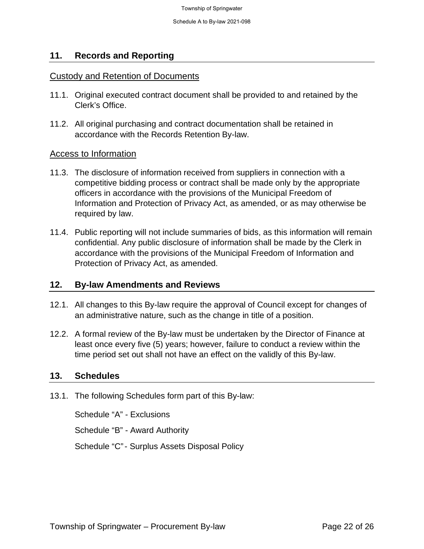#### **11. Records and Reporting**

#### Custody and Retention of Documents

- 11.1. Original executed contract document shall be provided to and retained by the Clerk's Office.
- 11.2. All original purchasing and contract documentation shall be retained in accordance with the Records Retention By-law.

#### Access to Information

- 11.3. The disclosure of information received from suppliers in connection with a competitive bidding process or contract shall be made only by the appropriate officers in accordance with the provisions of the Municipal Freedom of Information and Protection of Privacy Act, as amended, or as may otherwise be required by law.
- 11.4. Public reporting will not include summaries of bids, as this information will remain confidential. Any public disclosure of information shall be made by the Clerk in accordance with the provisions of the Municipal Freedom of Information and Protection of Privacy Act, as amended.

#### **12. By-law Amendments and Reviews**

- 12.1. All changes to this By-law require the approval of Council except for changes of an administrative nature, such as the change in title of a position.
- 12.2. A formal review of the By-law must be undertaken by the Director of Finance at least once every five (5) years; however, failure to conduct a review within the time period set out shall not have an effect on the validly of this By-law.

#### **13. Schedules**

13.1. The following Schedules form part of this By-law:

Schedule "A" - Exclusions Schedule "B" - Award Authority Schedule "C" - Surplus Assets Disposal Policy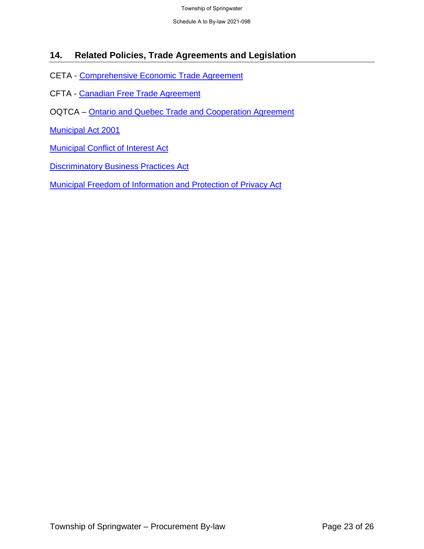Schedule A to By-law 2021-098

#### **14. Related Policies, Trade Agreements and Legislation**

- CETA - [Comprehensive Economic Trade Agreement](http://www.international.gc.ca/trade-commerce/trade-agreements-accords-commerciaux/agr-acc/ceta-aecg/text-texte/toc-tdm.aspx?lang=eng)
- CFTA Canadian [Free Trade Agreement](https://www.cfta-alec.ca/canadian-free-trade-agreement/)
- OQTCA – [Ontario and Quebec Trade and Cooperation Agreement](mailto:https://www.ontario.ca/document/trade-and-cooperation-agreement-between-ontario-and-quebec-0)

[Municipal Act 2001](http://www.e-laws.gov.on.ca/html/statutes/english/elaws_statutes_01m25_e.htm)

**[Municipal Conflict of Interest Act](http://www.e-laws.gov.on.ca/html/statutes/english/elaws_statutes_90m50_e.htm)** 

**[Discriminatory Business Practices Act](http://www.e-laws.gov.on.ca/html/statutes/english/elaws_statutes_90d12_e.htm)** 

[Municipal Freedom of Information and Protection of Privacy Act](http://www.e-laws.gov.on.ca/html/statutes/english/elaws_statutes_90m56_e.htm)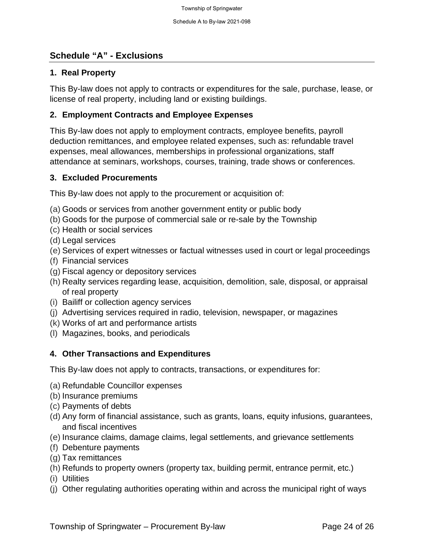#### **Schedule "A" - Exclusions**

#### **1. Real Property**

This By-law does not apply to contracts or expenditures for the sale, purchase, lease, or license of real property, including land or existing buildings.

#### **2. Employment Contracts and Employee Expenses**

This By-law does not apply to employment contracts, employee benefits, payroll deduction remittances, and employee related expenses, such as: refundable travel expenses, meal allowances, memberships in professional organizations, staff attendance at seminars, workshops, courses, training, trade shows or conferences.

#### **3. Excluded Procurements**

This By-law does not apply to the procurement or acquisition of:

- (a) Goods or services from another government entity or public body
- (b) Goods for the purpose of commercial sale or re-sale by the Township
- (c) Health or social services
- (d) Legal services
- (e) Services of expert witnesses or factual witnesses used in court or legal proceedings
- (f) Financial services
- (g) Fiscal agency or depository services
- (h) Realty services regarding lease, acquisition, demolition, sale, disposal, or appraisal of real property
- (i) Bailiff or collection agency services
- (j) Advertising services required in radio, television, newspaper, or magazines
- (k) Works of art and performance artists
- (l) Magazines, books, and periodicals

#### **4. Other Transactions and Expenditures**

This By-law does not apply to contracts, transactions, or expenditures for:

- (a) Refundable Councillor expenses
- (b) Insurance premiums
- (c) Payments of debts
- (d) Any form of financial assistance, such as grants, loans, equity infusions, guarantees, and fiscal incentives
- (e) Insurance claims, damage claims, legal settlements, and grievance settlements
- (f) Debenture payments
- (g) Tax remittances
- (h) Refunds to property owners (property tax, building permit, entrance permit, etc.)
- (i) Utilities
- (j) Other regulating authorities operating within and across the municipal right of ways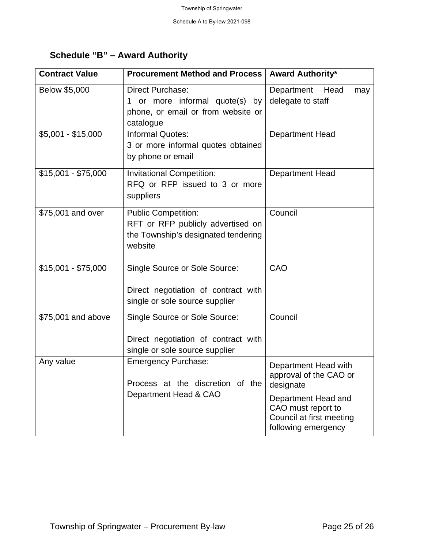### **Schedule "B" – Award Authority**

| <b>Contract Value</b> | <b>Procurement Method and Process</b>                                                                             | <b>Award Authority*</b>                                                                                                                                     |  |
|-----------------------|-------------------------------------------------------------------------------------------------------------------|-------------------------------------------------------------------------------------------------------------------------------------------------------------|--|
| Below \$5,000         | <b>Direct Purchase:</b><br>1 or more informal quote(s) by<br>phone, or email or from website or<br>catalogue      | Department Head<br>may<br>delegate to staff                                                                                                                 |  |
| $$5,001 - $15,000$    | <b>Informal Quotes:</b><br>3 or more informal quotes obtained<br>by phone or email                                | <b>Department Head</b>                                                                                                                                      |  |
| $$15,001 - $75,000$   | <b>Invitational Competition:</b><br>RFQ or RFP issued to 3 or more<br>suppliers                                   | Department Head                                                                                                                                             |  |
| \$75,001 and over     | <b>Public Competition:</b><br>RFT or RFP publicly advertised on<br>the Township's designated tendering<br>website | Council                                                                                                                                                     |  |
| $$15,001 - $75,000$   | Single Source or Sole Source:<br>Direct negotiation of contract with<br>single or sole source supplier            | CAO                                                                                                                                                         |  |
| \$75,001 and above    | Single Source or Sole Source:<br>Direct negotiation of contract with<br>single or sole source supplier            | Council                                                                                                                                                     |  |
| Any value             | <b>Emergency Purchase:</b><br>Process at the discretion of the<br>Department Head & CAO                           | Department Head with<br>approval of the CAO or<br>designate<br>Department Head and<br>CAO must report to<br>Council at first meeting<br>following emergency |  |